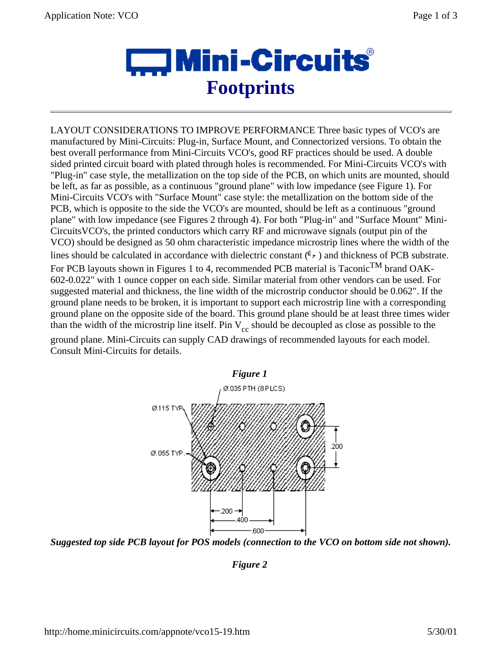

LAYOUT CONSIDERATIONS TO IMPROVE PERFORMANCE Three basic types of VCO's are manufactured by Mini-Circuits: Plug-in, Surface Mount, and Connectorized versions. To obtain the best overall performance from Mini-Circuits VCO's, good RF practices should be used. A double sided printed circuit board with plated through holes is recommended. For Mini-Circuits VCO's with "Plug-in" case style, the metallization on the top side of the PCB, on which units are mounted, should be left, as far as possible, as a continuous "ground plane" with low impedance (see Figure 1). For Mini-Circuits VCO's with "Surface Mount" case style: the metallization on the bottom side of the PCB, which is opposite to the side the VCO's are mounted, should be left as a continuous "ground plane" with low impedance (see Figures 2 through 4). For both "Plug-in" and "Surface Mount" Mini-CircuitsVCO's, the printed conductors which carry RF and microwave signals (output pin of the VCO) should be designed as 50 ohm characteristic impedance microstrip lines where the width of the lines should be calculated in accordance with dielectric constant  $(\epsilon_r)$  and thickness of PCB substrate. For PCB layouts shown in Figures 1 to 4, recommended PCB material is Taconic<sup>TM</sup> brand OAK-602-0.022" with 1 ounce copper on each side. Similar material from other vendors can be used. For suggested material and thickness, the line width of the microstrip conductor should be 0.062". If the

ground plane needs to be broken, it is important to support each microstrip line with a corresponding ground plane on the opposite side of the board. This ground plane should be at least three times wider than the width of the microstrip line itself. Pin  $V_{cc}$  should be decoupled as close as possible to the

ground plane. Mini-Circuits can supply CAD drawings of recommended layouts for each model. Consult Mini-Circuits for details.



*Suggested top side PCB layout for POS models (connection to the VCO on bottom side not shown).* 

*Figure 2*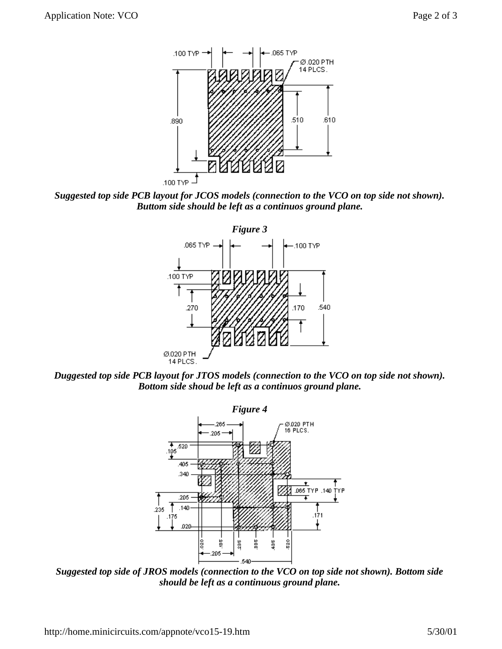

*Suggested top side PCB layout for JCOS models (connection to the VCO on top side not shown). Buttom side should be left as a continuos ground plane.* 



*Duggested top side PCB layout for JTOS models (connection to the VCO on top side not shown). Bottom side shoud be left as a continuos ground plane.* 



*Suggested top side of JROS models (connection to the VCO on top side not shown). Bottom side should be left as a continuous ground plane.*